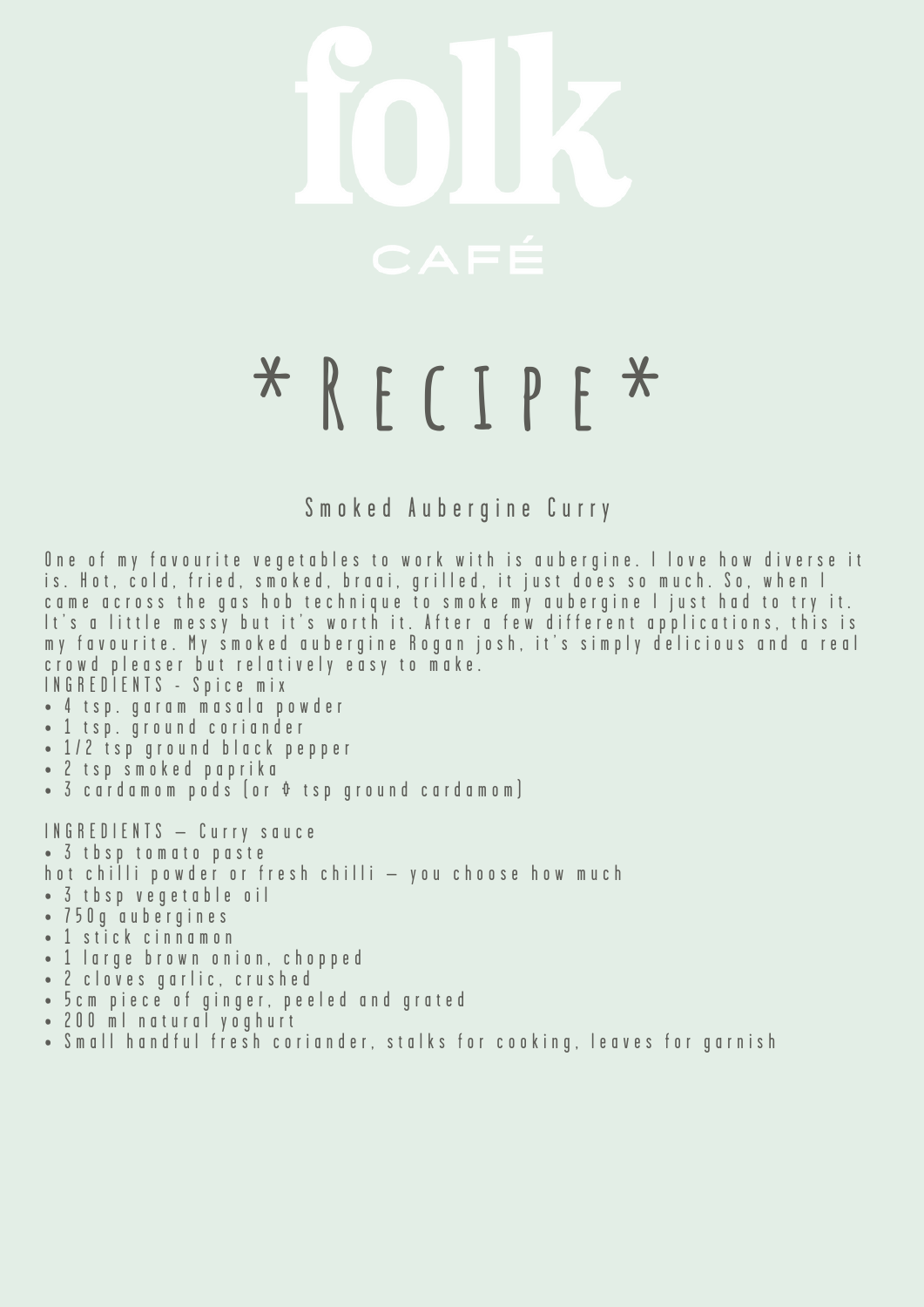

## **\* R e c i p e \***

S m o k e d A u b e r g i n e C u r r y

One of my favourite vegetables to work with is aubergine. I love how diverse it is. Hot, cold, fried, smoked, braai, grilled, it just does so much. So, when I c a m e a c r o s s th e g a s h o b t e c h n i q u e t o s m o k e m y a u b e r g in e I j u s t h a d t o try it. It's a little messy but it's worth it. After a few different applications, this is my favourite. My smoked aubergine Rogan josh, it's simply delicious and a real c rowd pleaser but relatively easy to make.

IN G R E D I E N T S - S p i c e m i x

- 4 t sp. g a r a m m a s a l a p o w d e r
- 1 tsp. ground coriander
- 1/2 tsp ground black pepper
- 2 t s p s m o k e d p a p r i k a
- 3 c a r d a m o m p o d s [or  $\theta$  t s p q r o u n d c a r d a m o m ]

INGREDIENTS - Curry sauce

- 3 tbsp tomato paste
- h o t c hilli powder or fresh chilli you choose how much
- 3 thsp vegetable oil
- 7 5 0 g a u b e r g i n e s
- 1 stick cinnamon
- 1 large brown onion, chopped
- 2 cloves garlic, crushed
- 5 cm piece of ginger, peeled and grated
- 200 ml natural yoghurt
- Small hand ful fresh coriander, stalks for cooking, leaves for garnish